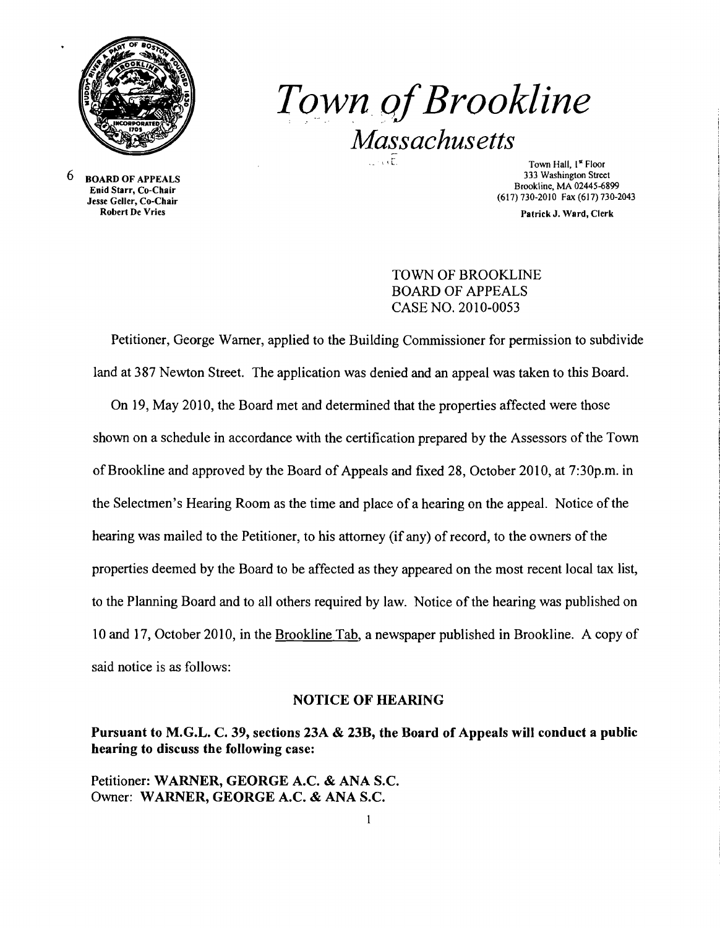

**Town of Brookline** *Massachusetts* 

6 BOARD OF APPEALS Enid Starr, Co-Chair Jesse Geller, Co-Chair Robert De Vries

333 Washington Street Brookline, MA 02445-6899 (617)730-2010 Fax(617)730-2043

Patrick J. Ward, Clerk

## TOWN OF BROOKLINE BOARD OF APPEALS CASE NO. 2010-0053

Petitioner, George Warner, applied to the Building Commissioner for permission to subdivide land at 387 Newton Street. The application was denied and an appeal was taken to this Board.

On 19, May 2010, the Board met and determined that the properties affected were those shown on a schedule in accordance with the certification prepared by the Assessors of the Town of Brookline and approved by the Board of Appeals and fixed 28, October 2010, at 7:30p.m. in the Selectmen's Hearing Room as the time and place of a hearing on the appeal. Notice of the hearing was mailed to the Petitioner, to his attorney (if any) of record, to the owners of the properties deemed by the Board to be affected as they appeared on the most recent local tax list, to the Planning Board and to all others required by law. Notice of the hearing was published on 10 and 17, October 2010, in the Brookline Tab, a newspaper published in Brookline. A copy of said notice is as follows:

## NOTICE OF HEARING

## Pursuant to M.G.L. C. 39, sections 23A & 23B, the Board of Appeals will conduct a public hearing to discuss the following case:

Petitioner: WARNER, GEORGE A.C. & ANA S.C. Owner: WARNER, GEORGE A.C. & ANA S.c.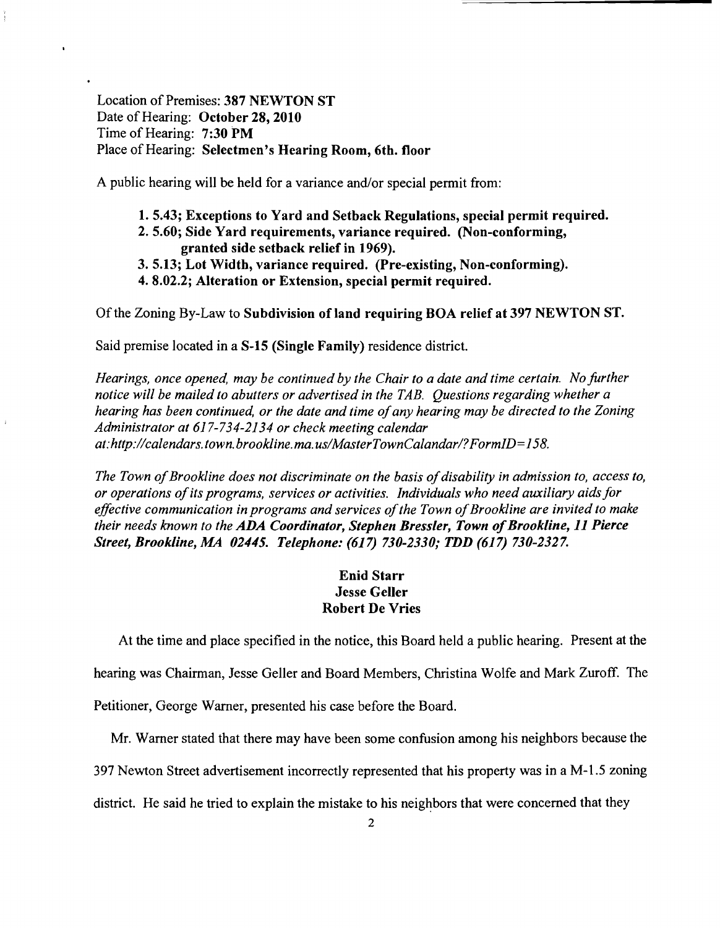Location of Premises: 387 NEWTON ST Date of Hearing: October 28, 2010 Time of Hearing: 7:30 PM Place of Hearing: Selectmen's Hearing Room, 6th. floor

 $\bullet$ 

A public hearing will be held for a variance and/or special permit from:

- 1. 5.43; Exceptions to Yard and Setback Regulations, special permit required.
- 2.5.60; Side Yard requirements, variance required. (Non-conforming, granted side setback relief in 1969).
- 3. 5.13; Lot Width, variance required. (Pre-existing, Non-conforming).
- 4. 8.02.2; Alteration or Extension, special permit required.

Of the Zoning By-Law to Subdivision of land requiring BOA relief at 397 NEWTON ST.

Said premise located in a S-15 (Single Family) residence district.

*Hearings, once opened, may be continued by the Chair to a date and time certain. No further notice will be mailed to abutters or advertised in the TAB. Questions regarding whether a hearing has been continued, or the date and time ofany hearing may be directed to the Zoning Administrator at* 617-734-2134 *or check meeting calendar at:http://calendars. town. brookline. ma. uslMasterTownCalandarl?FormID= 158.* 

The Town of Brookline does not discriminate on the basis of disability in admission to, access to, *or operations ofits programs, services or activities. Individuals who need auxiliary aidsfor effective communication in programs and services of the Town of Brookline are invited to make their needs known to the ADA Coordinator, Stephen Bressler, Town of Brookline, 11 Pierce Street, Brookline, MA 02445. Telephone:* (617) *730-2330; TDD* (617) *730-2327.* 

## Enid Starr Jesse Geller Robert De Vries

At the time and place specified in the notice, this Board held a public hearing. Present at the hearing was Chairman, Jesse Geller and Board Members, Christina Wolfe and Mark Zuroff. The

Petitioner, George Warner, presented his case before the Board.

Mr. Warner stated that there may have been some confusion among his neighbors because the

397 Newton Street advertisement incorrectly represented that his property was in a M-l.5 zoning

district. He said he tried to explain the mistake to his neighbors that were concerned that they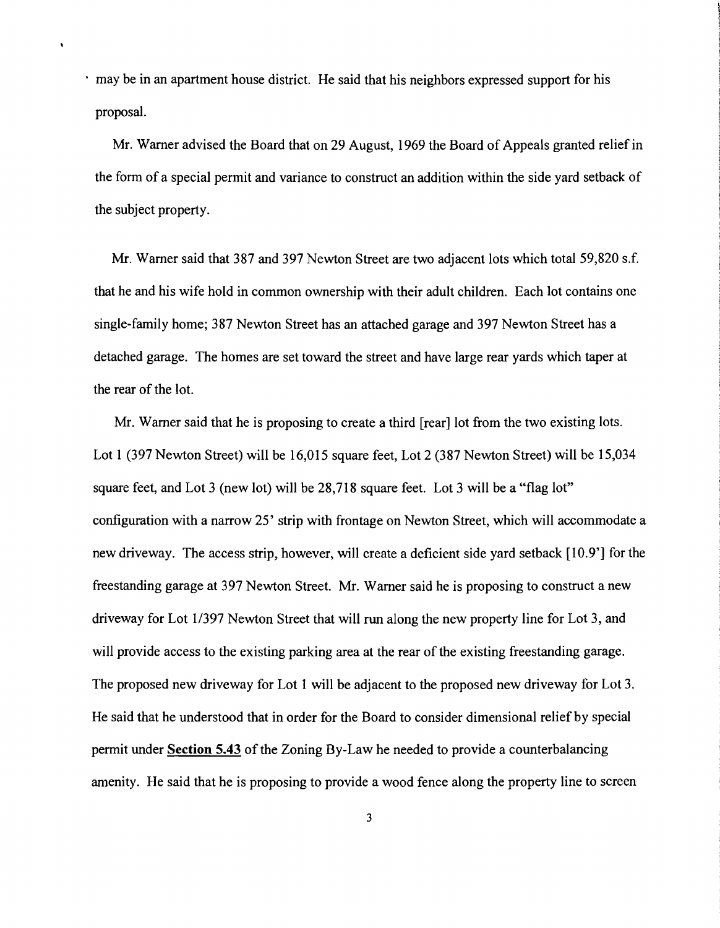· may be in an apartment house district. He said that his neighbors expressed support for his proposal.

 $\ddot{\phantom{0}}$ 

Mr. Warner advised the Board that on 29 August, 1969 the Board of Appeals granted relief in the form of a special permit and variance to construct an addition within the side yard setback of the subject property.

Mr. Warner said that 387 and 397 Newton Street are two adjacent lots which total 59,820 s.f. that he and his wife hold in common ownership with their adult children. Each lot contains one single-family home; 387 Newton Street has an attached garage and 397 Newton Street has a detached garage. The homes are set toward the street and have large rear yards which taper at the rear of the lot.

Mr. Warner said that he is proposing to create a third [rear] lot from the two existing lots. Lot 1 (397 Newton Street) will be 16,015 square feet, Lot 2 (387 Newton Street) will be 15,034 square feet, and Lot 3 (new lot) will be 28,718 square feet. Lot 3 will be a "flag lot" configuration with a narrow 25' strip with frontage on Newton Street, which will accommodate a new driveway. The access strip, however, will create a deficient side yard setback [10.9'] for the freestanding garage at 397 Newton Street. Mr. Warner said he is proposing to construct a new driveway for Lot 1/397 Newton Street that will run along the new property line for Lot 3, and will provide access to the existing parking area at the rear of the existing freestanding garage. The proposed new driveway for Lot 1 will be adjacent to the proposed new driveway for Lot 3. He said that he understood that in order for the Board to consider dimensional relief by special permit under **Section 5.43** of the Zoning By-Law he needed to provide a counterbalancing amenity. He said that he is proposing to provide a wood fence along the property line to screen

3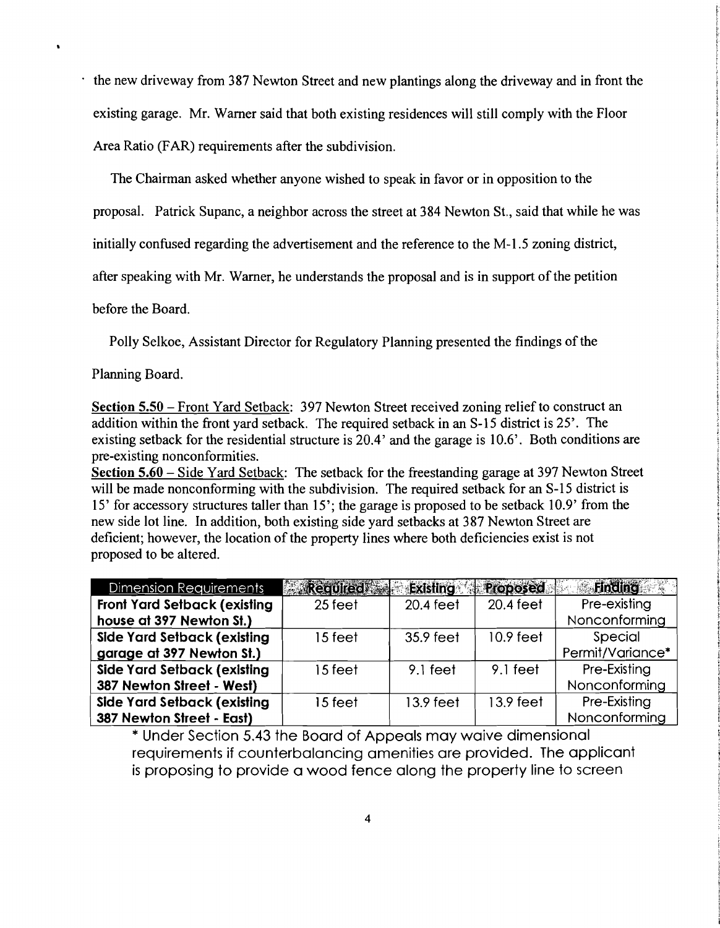the new driveway from 387 Newton Street and new plantings along the driveway and in front the existing garage. Mr. Warner said that both existing residences will still comply with the Floor Area Ratio (FAR) requirements after the subdivision.

The Chairman asked whether anyone wished to speak in favor or in opposition to the

proposal. Patrick Supanc, a neighbor across the street at 384 Newton St., said that while he was

initially confused regarding the advertisement and the reference to the M-l.5 zoning district,

after speaking with Mr. Warner, he understands the proposal and is in support of the petition

before the Board.

Polly Selkoe, Assistant Director for Regulatory Planning presented the findings of the

Planning Board.

Section 5.50 – Front Yard Setback: 397 Newton Street received zoning relief to construct an addition within the front yard setback. The required setback in an S-15 district is 25'. The existing setback for the residential structure is 20.4' and the garage is 10.6'. Both conditions are pre-existing nonconformities.

Section 5.60 - Side Yard Setback: The setback for the freestanding garage at 397 Newton Street will be made nonconforming with the subdivision. The required setback for an S-15 district is 15' for accessory structures taller than 15'; the garage is proposed to be setback 10.9' from the new side lot line. In addition, both existing side yard setbacks at 387 Newton Street are deficient; however, the location of the property lines where both deficiencies exist is not proposed to be altered.

| Dimension Requirements              | Required Existing Proposed |            |             | Finding          |
|-------------------------------------|----------------------------|------------|-------------|------------------|
| <b>Front Yard Setback (existing</b> | 25 feet                    | 20.4 feet  | 20.4 feet   | Pre-existing     |
| house at 397 Newton St.)            |                            |            |             | Nonconforming    |
| <b>Side Yard Setback (existing</b>  | 15 feet                    | 35.9 feet  | $10.9$ feet | Special          |
| garage at 397 Newton St.)           |                            |            |             | Permit/Variance* |
| Side Yard Setback (existing         | 15 feet                    | $9.1$ feet | 9.1 feet    | Pre-Existing     |
| 387 Newton Street - West)           |                            |            |             | Nonconforming    |
| <b>Side Yard Setback (existing</b>  | 15 feet                    | 13.9 feet  | 13.9 feet   | Pre-Existing     |
| 387 Newton Street - East)           |                            |            |             | Nonconforming    |

\* Under Section 5.43 the Board of Appeals may waive dimensional requirements if counterbalancing amenities are provided. The applicant is proposing to provide a wood fence along the property line to screen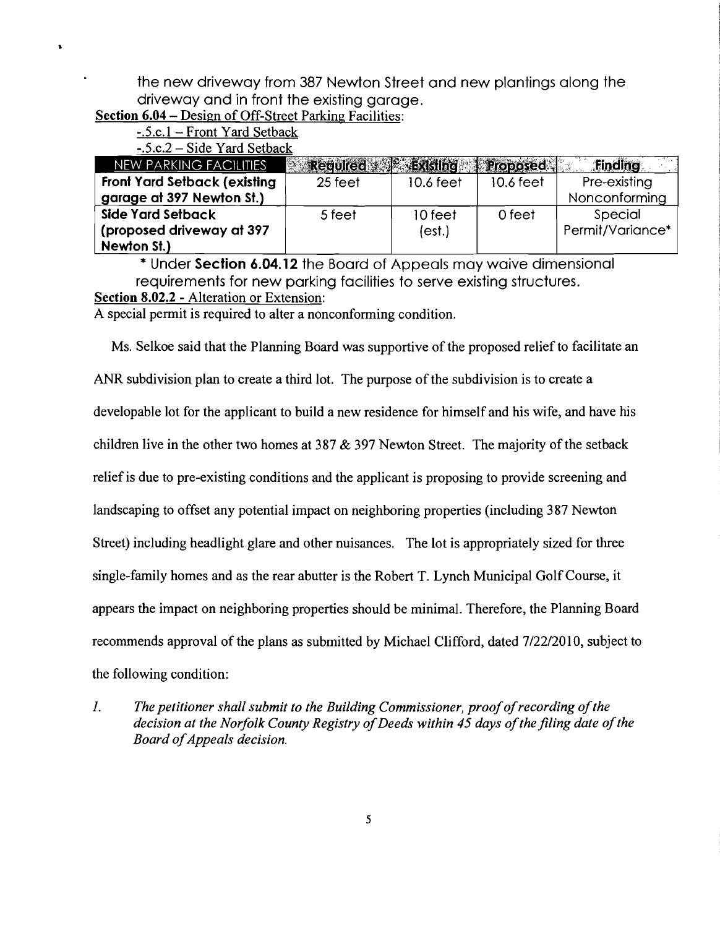the new driveway from 387 Newton street and new plantings along the driveway and in front the existing garage.

**Section 6.04** - Design of Off-Street Parking Facilities:

-.S.c.! - Front Yard Setback

 $-.5.c.2-Side$  Yard Setback

| NEW PARKING FACILITIES               | Required Sability Proposed |           |           | Service St<br>Finding |
|--------------------------------------|----------------------------|-----------|-----------|-----------------------|
| <b>Front Yard Setback (existing)</b> | 25 feet                    | 10.6 feet | 10.6 feet | Pre-existing          |
| garage at 397 Newton St.)            |                            |           |           | Nonconforming         |
| Side Yard Setback                    | 5 feet                     | 10 feet   | 0 feet    | Special               |
| (proposed driveway at 397            |                            | (est.)    |           | Permit/Variance*      |
| Newton St.)                          |                            |           |           |                       |

\* Under **Section 6.04.12** the Board of Appeals may waive dimensional requirements for new parking facilities to serve existing structures. **Section 8.02.2** - Alteration or Extension:

A special permit is required to alter a nonconforming condition.

Ms. Selkoe said that the Planning Board was supportive of the proposed relief to facilitate an ANR subdivision plan to create a third lot. The purpose of the subdivision is to create a developable lot for the applicant to build a new residence for himself and his wife, and have his children live in the other two homes at 387  $&$  397 Newton Street. The majority of the setback relief is due to pre-existing conditions and the applicant is proposing to provide screening and landscaping to offset any potential impact on neighboring properties (including 387 Newton Street) including headlight glare and other nuisances. The lot is appropriately sized for three single-family homes and as the rear abutter is the Robert T. Lynch Municipal Golf Course, it appears the impact on neighboring properties should be minimal. Therefore, the Planning Board recommends approval of the plans as submitted by Michael Clifford, dated 7/22/2010, subject to the following condition:

*1.* The petitioner shall submit to the Building Commissioner, proof of recording of the *decision at the Norfolk County Registry of Deeds within 45 days of the filing date of the* **Board of Appeals decision.**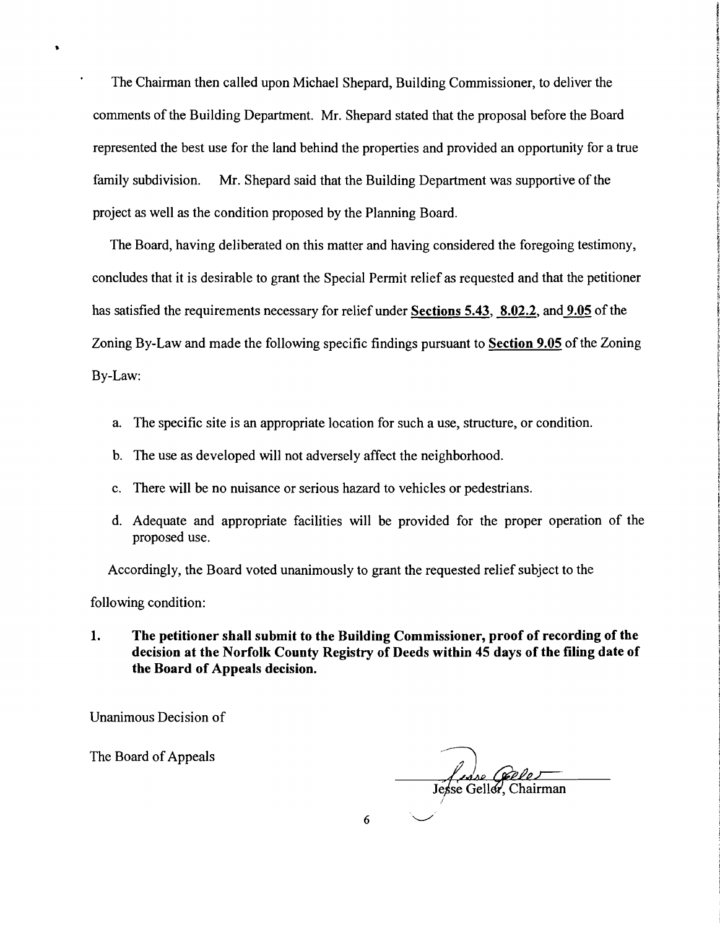The Chairman then called upon Michael Shepard, Building Commissioner, to deliver the comments of the Building Department. Mr. Shepard stated that the proposal before the Board represented the best use for the land behind the properties and provided an opportunity for a true family subdivision. Mr. Shepard said that the Building Department was supportive of the project as well as the condition proposed by the Planning Board.

The Board, having deliberated on this matter and having considered the foregoing testimony, concludes that it is desirable to grant the Special Permit relief as requested and that the petitioner has satisfied the requirements necessary for relief under Sections 5.43, 8.02.2, and 9.05 of the Zoning By-Law and made the following specific findings pursuant to Section 9.05 of the Zoning By-Law:

- a. The specific site is an appropriate location for such a use, structure, or condition.
- b. The use as developed will not adversely affect the neighborhood.
- c. There will be no nuisance or serious hazard to vehicles or pedestrians.
- d. Adequate and appropriate facilities will be provided for the proper operation of the proposed use.

Accordingly, the Board voted unanimously to grant the requested relief subject to the

following condition:

1. The petitioner shall submit to the Building Commissioner, proof of recording of the decision at the Norfolk County Registry of Deeds within 45 days of the filing date of the Board of Appeals decision.

Unanimous Decision of

The Board of Appeals

Jesse Creeke Tesse<br>Jesse Geller, Chairman

6